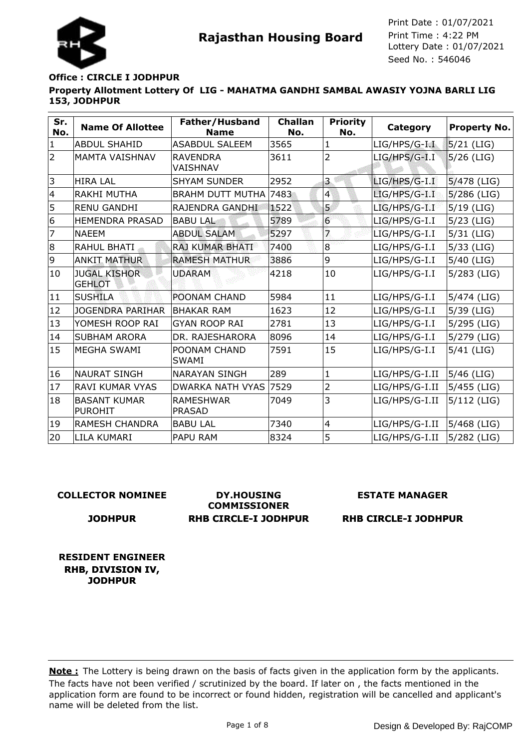

## **Property Allotment Lottery Of LIG - MAHATMA GANDHI SAMBAL AWASIY YOJNA BARLI LIG 153, JODHPUR Office : CIRCLE I JODHPUR**

| Sr.<br>No.     | <b>Name Of Allottee</b>               | Father/Husband<br><b>Name</b>     | <b>Challan</b><br>No. | <b>Priority</b><br>No. | Category         | <b>Property No.</b> |
|----------------|---------------------------------------|-----------------------------------|-----------------------|------------------------|------------------|---------------------|
| $\mathbf{1}$   | <b>ABDUL SHAHID</b>                   | <b>ASABDUL SALEEM</b>             | 3565                  | $\mathbf{1}$           | $LIG/HPS/G-I.I.$ | 5/21 (LIG)          |
| $\overline{2}$ | <b>MAMTA VAISHNAV</b>                 | <b>RAVENDRA</b><br>VAISHNAV       | 3611                  | $\overline{2}$         | LIG/HPS/G-I.I    | $5/26$ (LIG)        |
| 3              | <b>HIRA LAL</b>                       | <b>SHYAM SUNDER</b>               | 2952                  | 3                      | $LIG/HPS/G-I.I$  | $5/478$ (LIG)       |
| $\overline{4}$ | <b>RAKHI MUTHA</b>                    | <b>BRAHM DUTT MUTHA</b>           | 7483                  | $\overline{4}$         | $LIG/HPS/G-I.I$  | $5/286$ (LIG)       |
| 5              | <b>RENU GANDHI</b>                    | RAJENDRA GANDHI                   | 1522                  | 5                      | $LIG/HPS/G-I.I$  | $5/19$ (LIG)        |
| 6              | <b>HEMENDRA PRASAD</b>                | <b>BABU LAL</b>                   | 5789                  | $\overline{6}$         | $LIG/HPS/G-I.I$  | $5/23$ (LIG)        |
| 7              | <b>NAEEM</b>                          | <b>ABDUL SALAM</b>                | 5297                  | 7                      | LIG/HPS/G-I.I    | $5/31$ (LIG)        |
| 8              | RAHUL BHATI                           | <b>RAJ KUMAR BHATI</b>            | 7400                  | 8                      | LIG/HPS/G-I.I    | $5/33$ (LIG)        |
| 9              | <b>ANKIT MATHUR</b>                   | <b>RAMESH MATHUR</b>              | 3886                  | 9                      | LIG/HPS/G-I.I    | $5/40$ (LIG)        |
| 10             | <b>JUGAL KISHOR</b><br><b>GEHLOT</b>  | <b>UDARAM</b>                     | 4218                  | 10                     | LIG/HPS/G-I.I    | 5/283 (LIG)         |
| 11             | <b>SUSHILA</b>                        | POONAM CHAND                      | 5984                  | 11                     | LIG/HPS/G-I.I    | 5/474 (LIG)         |
| 12             | <b>JOGENDRA PARIHAR</b>               | <b>BHAKAR RAM</b>                 | 1623                  | 12                     | LIG/HPS/G-I.I    | $5/39$ (LIG)        |
| 13             | YOMESH ROOP RAI                       | <b>GYAN ROOP RAI</b>              | 2781                  | 13                     | LIG/HPS/G-I.I    | 5/295 (LIG)         |
| 14             | <b>SUBHAM ARORA</b>                   | DR. RAJESHARORA                   | 8096                  | 14                     | LIG/HPS/G-I.I    | 5/279 (LIG)         |
| 15             | <b>MEGHA SWAMI</b>                    | POONAM CHAND<br><b>SWAMI</b>      | 7591                  | 15                     | LIG/HPS/G-I.I    | $5/41$ (LIG)        |
| 16             | <b>NAURAT SINGH</b>                   | <b>NARAYAN SINGH</b>              | 289                   | $\mathbf{1}$           | LIG/HPS/G-I.II   | $5/46$ (LIG)        |
| 17             | <b>RAVI KUMAR VYAS</b>                | <b>DWARKA NATH VYAS</b>           | 7529                  | 2                      | LIG/HPS/G-I.II   | 5/455 (LIG)         |
| 18             | <b>BASANT KUMAR</b><br><b>PUROHIT</b> | <b>RAMESHWAR</b><br><b>PRASAD</b> | 7049                  | 3                      | LIG/HPS/G-I.II   | $5/112$ (LIG)       |
| 19             | RAMESH CHANDRA                        | <b>BABU LAL</b>                   | 7340                  | $\overline{4}$         | LIG/HPS/G-I.II   | 5/468 (LIG)         |
| 20             | LILA KUMARI                           | PAPU RAM                          | 8324                  | 5                      | LIG/HPS/G-I.II   | 5/282 (LIG)         |

### **COLLECTOR NOMINEE**

**JODHPUR**

**DY.HOUSING COMMISSIONER RHB CIRCLE-I JODHPUR** **ESTATE MANAGER**

**RHB CIRCLE-I JODHPUR**

**RESIDENT ENGINEER RHB, DIVISION IV, JODHPUR**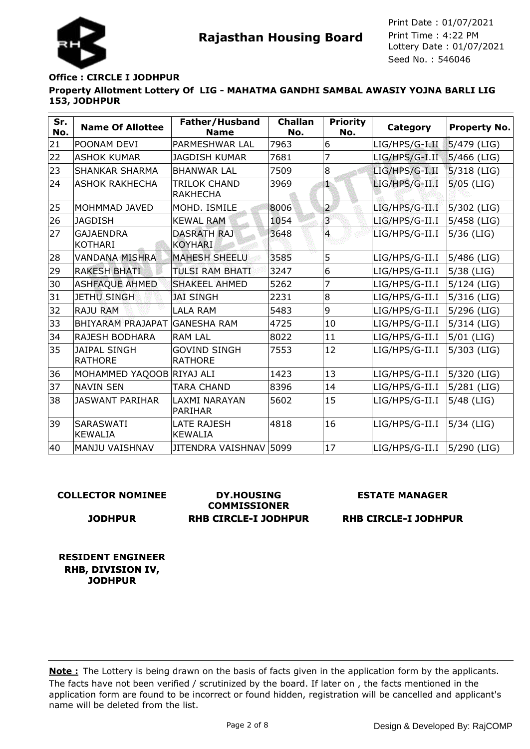

### **Property Allotment Lottery Of LIG - MAHATMA GANDHI SAMBAL AWASIY YOJNA BARLI LIG 153, JODHPUR Office : CIRCLE I JODHPUR**

| Sr.<br>No. | <b>Name Of Allottee</b>               | Father/Husband<br><b>Name</b>         | <b>Challan</b><br>No. | <b>Priority</b><br>No. | Category       | <b>Property No.</b> |
|------------|---------------------------------------|---------------------------------------|-----------------------|------------------------|----------------|---------------------|
| 21         | POONAM DEVI                           | PARMESHWAR LAL                        | 7963                  | 6                      | LIG/HPS/G-I.II | 5/479 (LIG)         |
| 22         | <b>ASHOK KUMAR</b>                    | <b>JAGDISH KUMAR</b>                  | 7681                  | 7                      | LIG/HPS/G-I.II | 5/466 (LIG)         |
| 23         | <b>SHANKAR SHARMA</b>                 | <b>BHANWAR LAL</b>                    | 7509                  | 8                      | LIG/HPS/G-I.II | $5/318$ (LIG)       |
| 24         | <b>ASHOK RAKHECHA</b>                 | TRILOK CHAND<br><b>RAKHECHA</b>       | 3969                  | t.                     | LIG/HPS/G-II.I | $5/05$ (LIG)        |
| 25         | MOHMMAD JAVED                         | MOHD. ISMILE                          | 8006                  | $\overline{a}$         | LIG/HPS/G-II.I | 5/302 (LIG)         |
| 26         | <b>JAGDISH</b>                        | <b>KEWAL RAM</b>                      | 1054                  | 3                      | LIG/HPS/G-II.I | 5/458 (LIG)         |
| 27         | <b>GAJAENDRA</b><br><b>KOTHARI</b>    | <b>DASRATH RAJ</b><br><b>KOYHARI</b>  | 3648                  | $\overline{4}$         | LIG/HPS/G-II.I | $5/36$ (LIG)        |
| 28         | <b>VANDANA MISHRA</b>                 | <b>MAHESH SHEELU</b>                  | 3585                  | 5                      | LIG/HPS/G-II.I | 5/486 (LIG)         |
| 29         | <b>RAKESH BHATI</b>                   | <b>TULSI RAM BHATI</b>                | 3247                  | 6                      | LIG/HPS/G-II.I | $5/38$ (LIG)        |
| 30         | <b>ASHFAQUE AHMED</b>                 | <b>SHAKEEL AHMED</b>                  | 5262                  | 7                      | LIG/HPS/G-II.I | 5/124 (LIG)         |
| 31         | <b>JETHU SINGH</b>                    | <b>JAI SINGH</b>                      | 2231                  | 8                      | LIG/HPS/G-II.I | 5/316 (LIG)         |
| 32         | <b>RAJU RAM</b>                       | <b>LALA RAM</b>                       | 5483                  | 9                      | LIG/HPS/G-II.I | 5/296 (LIG)         |
| 33         | <b>BHIYARAM PRAJAPAT</b>              | <b>GANESHA RAM</b>                    | 4725                  | 10                     | LIG/HPS/G-II.I | 5/314 (LIG)         |
| 34         | RAJESH BODHARA                        | <b>RAM LAL</b>                        | 8022                  | 11                     | LIG/HPS/G-II.I | $5/01$ (LIG)        |
| 35         | <b>JAIPAL SINGH</b><br><b>RATHORE</b> | <b>GOVIND SINGH</b><br><b>RATHORE</b> | 7553                  | 12                     | LIG/HPS/G-II.I | 5/303 (LIG)         |
| 36         | MOHAMMED YAQOOB RIYAJ ALI             |                                       | 1423                  | 13                     | LIG/HPS/G-II.I | 5/320 (LIG)         |
| 37         | <b>NAVIN SEN</b>                      | <b>TARA CHAND</b>                     | 8396                  | 14                     | LIG/HPS/G-II.I | 5/281 (LIG)         |
| 38         | <b>JASWANT PARIHAR</b>                | LAXMI NARAYAN<br><b>PARIHAR</b>       | 5602                  | 15                     | LIG/HPS/G-II.I | $5/48$ (LIG)        |
| 39         | <b>SARASWATI</b><br><b>KEWALIA</b>    | <b>LATE RAJESH</b><br><b>KEWALIA</b>  | 4818                  | 16                     | LIG/HPS/G-II.I | 5/34 (LIG)          |
| 40         | <b>MANJU VAISHNAV</b>                 | JITENDRA VAISHNAV 5099                |                       | 17                     | LIG/HPS/G-II.I | $ 5/290$ (LIG)      |

### **COLLECTOR NOMINEE**

**JODHPUR**

**DY.HOUSING COMMISSIONER RHB CIRCLE-I JODHPUR**

### **ESTATE MANAGER**

**RHB CIRCLE-I JODHPUR**

**RESIDENT ENGINEER RHB, DIVISION IV, JODHPUR**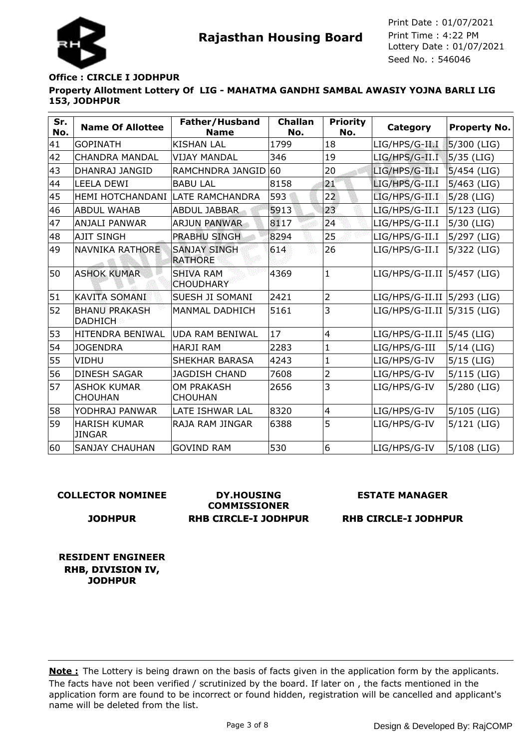

### **Property Allotment Lottery Of LIG - MAHATMA GANDHI SAMBAL AWASIY YOJNA BARLI LIG 153, JODHPUR Office : CIRCLE I JODHPUR**

| Sr.<br>No. | <b>Name Of Allottee</b>                | Father/Husband<br><b>Name</b>         | <b>Challan</b><br>No. | <b>Priority</b><br>No. | Category                       | <b>Property No.</b> |
|------------|----------------------------------------|---------------------------------------|-----------------------|------------------------|--------------------------------|---------------------|
| 41         | <b>GOPINATH</b>                        | <b>KISHAN LAL</b>                     | 1799                  | 18                     | LIG/HPS/G-II.I                 | 5/300 (LIG)         |
| 42         | <b>CHANDRA MANDAL</b>                  | <b>VIJAY MANDAL</b>                   | 346                   | 19                     | LIG/HPS/G-II.I                 | $5/35$ (LIG)        |
| 43         | DHANRAJ JANGID                         | RAMCHNDRA JANGID 60                   |                       | 20                     | LIG/HPS/G-II.I                 | 5/454 (LIG)         |
| 44         | <b>LEELA DEWI</b>                      | <b>BABU LAL</b>                       | 8158                  | 21                     | LIG/HPS/G-II.I                 | $5/463$ (LIG)       |
| 45         | HEMI HOTCHANDANI  LATE RAMCHANDRA      |                                       | 593                   | 22                     | LIG/HPS/G-II.I                 | $5/28$ (LIG)        |
| 46         | <b>ABDUL WAHAB</b>                     | <b>ABDUL JABBAR</b>                   | 5913                  | 23                     | LIG/HPS/G-II.I                 | $5/123$ (LIG)       |
| 47         | <b>ANJALI PANWAR</b>                   | <b>ARJUN PANWAR</b>                   | 8117                  | 24                     | LIG/HPS/G-II.I                 | $5/30$ (LIG)        |
| 48         | <b>AJIT SINGH</b>                      | <b>PRABHU SINGH</b>                   | 8294                  | 25                     | LIG/HPS/G-II.I                 | 5/297 (LIG)         |
| 49         | NAVNIKA RATHORE                        | <b>SANJAY SINGH</b><br><b>RATHORE</b> | 614                   | 26                     | LIG/HPS/G-II.I                 | 5/322 (LIG)         |
| 50         | <b>ASHOK KUMAR</b>                     | <b>SHIVA RAM</b><br><b>CHOUDHARY</b>  | 4369                  | $\mathbf{1}$           | LIG/HPS/G-II.II   5/457 (LIG)  |                     |
| 51         | <b>KAVITA SOMANI</b>                   | <b>SUESH JI SOMANI</b>                | 2421                  | $\overline{2}$         | LIG/HPS/G-II.II 5/293 (LIG)    |                     |
| 52         | <b>BHANU PRAKASH</b><br><b>DADHICH</b> | MANMAL DADHICH                        | 5161                  | 3                      | LIG/HPS/G-II.II 5/315 (LIG)    |                     |
| 53         | <b>HITENDRA BENIWAL</b>                | <b>UDA RAM BENIWAL</b>                | 17                    | $\overline{4}$         | $LIG/HPS/G-II.II$   5/45 (LIG) |                     |
| 54         | <b>JOGENDRA</b>                        | <b>HARJI RAM</b>                      | 2283                  | $\mathbf{1}$           | LIG/HPS/G-III                  | $5/14$ (LIG)        |
| 55         | <b>VIDHU</b>                           | <b>SHEKHAR BARASA</b>                 | 4243                  | $\mathbf{1}$           | LIG/HPS/G-IV                   | $5/15$ (LIG)        |
| 56         | <b>DINESH SAGAR</b>                    | <b>JAGDISH CHAND</b>                  | 7608                  | $\overline{2}$         | LIG/HPS/G-IV                   | $5/115$ (LIG)       |
| 57         | <b>ASHOK KUMAR</b><br><b>CHOUHAN</b>   | OM PRAKASH<br><b>CHOUHAN</b>          | 2656                  | 3                      | LIG/HPS/G-IV                   | 5/280 (LIG)         |
| 58         | YODHRAJ PANWAR                         | LATE ISHWAR LAL                       | 8320                  | $\overline{4}$         | LIG/HPS/G-IV                   | 5/105 (LIG)         |
| 59         | <b>HARISH KUMAR</b><br><b>JINGAR</b>   | RAJA RAM JINGAR                       | 6388                  | 5                      | LIG/HPS/G-IV                   | 5/121 (LIG)         |
| 60         | <b>SANJAY CHAUHAN</b>                  | <b>GOVIND RAM</b>                     | 530                   | 6                      | LIG/HPS/G-IV                   | 5/108 (LIG)         |

### **COLLECTOR NOMINEE**

#### **JODHPUR**

**DY.HOUSING COMMISSIONER RHB CIRCLE-I JODHPUR**

### **ESTATE MANAGER**

**RHB CIRCLE-I JODHPUR**

**RESIDENT ENGINEER RHB, DIVISION IV, JODHPUR**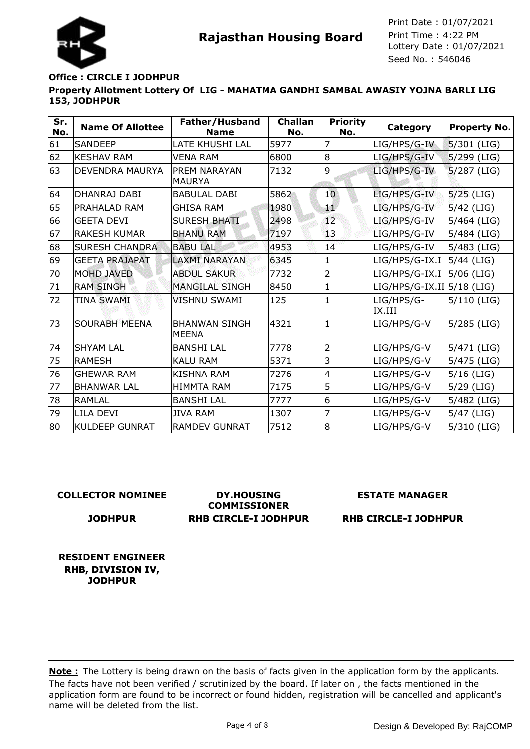

## **Property Allotment Lottery Of LIG - MAHATMA GANDHI SAMBAL AWASIY YOJNA BARLI LIG 153, JODHPUR Office : CIRCLE I JODHPUR**

| Sr.<br>No. | <b>Name Of Allottee</b> | Father/Husband<br><b>Name</b>        | <b>Challan</b><br>No. | <b>Priority</b><br>No. | Category                     | <b>Property No.</b> |
|------------|-------------------------|--------------------------------------|-----------------------|------------------------|------------------------------|---------------------|
| 61         | <b>SANDEEP</b>          | LATE KHUSHI LAL                      | 5977                  | 7                      | LIG/HPS/G-IV                 | $5/301$ (LIG)       |
| 62         | <b>KESHAV RAM</b>       | <b>VENA RAM</b>                      | 6800                  | 8                      | LIG/HPS/G-IV                 | 5/299 (LIG)         |
| 63         | <b>DEVENDRA MAURYA</b>  | <b>PREM NARAYAN</b><br><b>MAURYA</b> | 7132                  | 9                      | LIG/HPS/G-IV                 | $5/287$ (LIG)       |
| 64         | DHANRAJ DABI            | <b>BABULAL DABI</b>                  | 5862                  | 10                     | LIG/HPS/G-IV                 | $5/25$ (LIG)        |
| 65         | PRAHALAD RAM            | <b>GHISA RAM</b>                     | 1980                  | æ                      | LIG/HPS/G-IV                 | $5/42$ (LIG)        |
| 66         | <b>GEETA DEVI</b>       | <b>SURESH BHATI</b>                  | 2498                  | 12 <sup>°</sup>        | LIG/HPS/G-IV                 | 5/464 (LIG)         |
| 67         | <b>RAKESH KUMAR</b>     | <b>BHANU RAM</b>                     | 7197                  | 13                     | LIG/HPS/G-IV                 | 5/484 (LIG)         |
| 68         | <b>SURESH CHANDRA</b>   | <b>BABU LAL</b>                      | 4953                  | 14                     | LIG/HPS/G-IV                 | 5/483 (LIG)         |
| 69         | <b>GEETA PRAJAPAT</b>   | <b>LAXMI NARAYAN</b>                 | 6345                  | $\mathbf{1}$           | LIG/HPS/G-IX.I               | $5/44$ (LIG)        |
| 70         | <b>MOHD JAVED</b>       | <b>ABDUL SAKUR</b>                   | 7732                  | 2                      | LIG/HPS/G-IX.I               | 5/06 (LIG)          |
| 71         | <b>RAM SINGH</b>        | <b>MANGILAL SINGH</b>                | 8450                  | 1                      | $LIG/HPS/G-IX.II 5/18 (LIG)$ |                     |
| 72         | <b>TINA SWAMI</b>       | <b>VISHNU SWAMI</b>                  | 125                   | $\mathbf{1}$           | LIG/HPS/G-<br>IX.III         | $5/110$ (LIG)       |
| 73         | <b>SOURABH MEENA</b>    | <b>BHANWAN SINGH</b><br><b>MEENA</b> | 4321                  | $\mathbf{1}$           | LIG/HPS/G-V                  | 5/285 (LIG)         |
| 74         | <b>SHYAM LAL</b>        | <b>BANSHI LAL</b>                    | 7778                  | $\overline{2}$         | LIG/HPS/G-V                  | 5/471 (LIG)         |
| 75         | RAMESH                  | <b>KALU RAM</b>                      | 5371                  | 3                      | LIG/HPS/G-V                  | 5/475 (LIG)         |
| 76         | <b>GHEWAR RAM</b>       | <b>KISHNA RAM</b>                    | 7276                  | $\overline{4}$         | LIG/HPS/G-V                  | $5/16$ (LIG)        |
| 77         | <b>BHANWAR LAL</b>      | <b>HIMMTA RAM</b>                    | 7175                  | 5                      | LIG/HPS/G-V                  | $5/29$ (LIG)        |
| 78         | <b>RAMLAL</b>           | <b>BANSHI LAL</b>                    | 7777                  | 6                      | LIG/HPS/G-V                  | 5/482 (LIG)         |
| 79         | LILA DEVI               | <b>JIVA RAM</b>                      | 1307                  | 7                      | LIG/HPS/G-V                  | $5/47$ (LIG)        |
| 80         | <b>KULDEEP GUNRAT</b>   | <b>RAMDEV GUNRAT</b>                 | 7512                  | 8                      | LIG/HPS/G-V                  | 5/310 (LIG)         |

### **COLLECTOR NOMINEE**

### **JODHPUR**

**DY.HOUSING COMMISSIONER RHB CIRCLE-I JODHPUR**

### **ESTATE MANAGER**

**RHB CIRCLE-I JODHPUR**

**RESIDENT ENGINEER RHB, DIVISION IV, JODHPUR**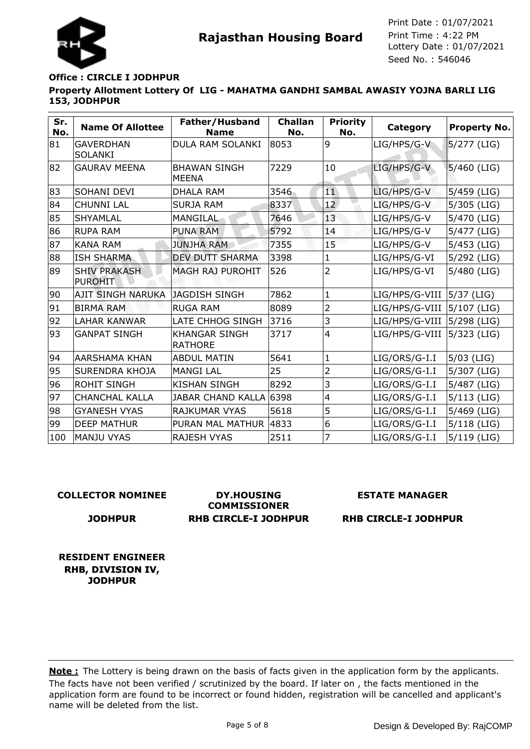

## **Office : CIRCLE I JODHPUR**

**Property Allotment Lottery Of LIG - MAHATMA GANDHI SAMBAL AWASIY YOJNA BARLI LIG 153, JODHPUR**

| Sr.<br>No. | <b>Name Of Allottee</b>               | Father/Husband<br><b>Name</b>          | <b>Challan</b><br>No. | <b>Priority</b><br>No.  | Category       | <b>Property No.</b> |
|------------|---------------------------------------|----------------------------------------|-----------------------|-------------------------|----------------|---------------------|
| 81         | <b>GAVERDHAN</b><br><b>SOLANKI</b>    | DULA RAM SOLANKI                       | 8053                  | 9                       | LIG/HPS/G-V    | 5/277 (LIG)         |
| 82         | <b>GAURAV MEENA</b>                   | <b>BHAWAN SINGH</b><br><b>MEENA</b>    | 7229                  | 10                      | LIG/HPS/G-V    | $5/460$ (LIG)       |
| 83         | SOHANI DEVI                           | <b>DHALA RAM</b>                       | 3546                  | TŴ                      | LIG/HPS/G-V    | 5/459 (LIG)         |
| 84         | <b>CHUNNI LAL</b>                     | <b>SURJA RAM</b>                       | 8337                  | 12                      | LIG/HPS/G-V    | $5/305$ (LIG)       |
| 85         | <b>SHYAMLAL</b>                       | <b>MANGILAL</b>                        | 7646                  | 43                      | LIG/HPS/G-V    | 5/470 (LIG)         |
| 86         | <b>RUPA RAM</b>                       | <b>PUNA RAM</b>                        | 5792                  | $\overline{1}4$         | LIG/HPS/G-V    | 5/477 (LIG)         |
| 87         | <b>KANA RAM</b>                       | <b>JUNJHA RAM</b>                      | 7355                  | 15                      | LIG/HPS/G-V    | 5/453 (LIG)         |
| 88         | <b>ISH SHARMA</b>                     | <b>DEV DUTT SHARMA</b>                 | 3398                  | 1                       | LIG/HPS/G-VI   | 5/292 (LIG)         |
| 89         | <b>SHIV PRAKASH</b><br><b>PUROHIT</b> | <b>MAGH RAJ PUROHIT</b>                | 526                   | $\overline{2}$          | LIG/HPS/G-VI   | 5/480 (LIG)         |
| 90         | <b>AJIT SINGH NARUKA</b>              | JAGDISH SINGH                          | 7862                  | $\mathbf{1}$            | LIG/HPS/G-VIII | $ 5/37$ (LIG)       |
| 91         | <b>BIRMA RAM</b>                      | <b>RUGA RAM</b>                        | 8089                  | $\overline{2}$          | LIG/HPS/G-VIII | 5/107 (LIG)         |
| 92         | <b>LAHAR KANWAR</b>                   | LATE CHHOG SINGH                       | 3716                  | 3                       | LIG/HPS/G-VIII | $ 5/298$ (LIG)      |
| 93         | <b>GANPAT SINGH</b>                   | <b>KHANGAR SINGH</b><br><b>RATHORE</b> | 3717                  | $\overline{4}$          | LIG/HPS/G-VIII | 5/323 (LIG)         |
| 94         | <b>AARSHAMA KHAN</b>                  | <b>ABDUL MATIN</b>                     | 5641                  | $\mathbf{1}$            | LIG/ORS/G-I.I  | $5/03$ (LIG)        |
| 95         | <b>SURENDRA KHOJA</b>                 | <b>MANGI LAL</b>                       | 25                    | $\overline{2}$          | LIG/ORS/G-I.I  | 5/307 (LIG)         |
| 96         | <b>ROHIT SINGH</b>                    | <b>KISHAN SINGH</b>                    | 8292                  | 3                       | LIG/ORS/G-I.I  | 5/487 (LIG)         |
| 97         | <b>CHANCHAL KALLA</b>                 | <b>JABAR CHAND KALLA</b>               | 6398                  | $\overline{\mathbf{4}}$ | LIG/ORS/G-I.I  | $5/113$ (LIG)       |
| 98         | <b>GYANESH VYAS</b>                   | <b>RAJKUMAR VYAS</b>                   | 5618                  | 5                       | LIG/ORS/G-I.I  | 5/469 (LIG)         |
| 99         | <b>DEEP MATHUR</b>                    | PURAN MAL MATHUR                       | 4833                  | 6                       | LIG/ORS/G-I.I  | $5/118$ (LIG)       |
| 100        | <b>MANJU VYAS</b>                     | <b>RAJESH VYAS</b>                     | 2511                  | 7                       | LIG/ORS/G-I.I  | 5/119 (LIG)         |

### **COLLECTOR NOMINEE**

**JODHPUR**

**DY.HOUSING COMMISSIONER RHB CIRCLE-I JODHPUR** **ESTATE MANAGER**

**RHB CIRCLE-I JODHPUR**

**RESIDENT ENGINEER RHB, DIVISION IV, JODHPUR**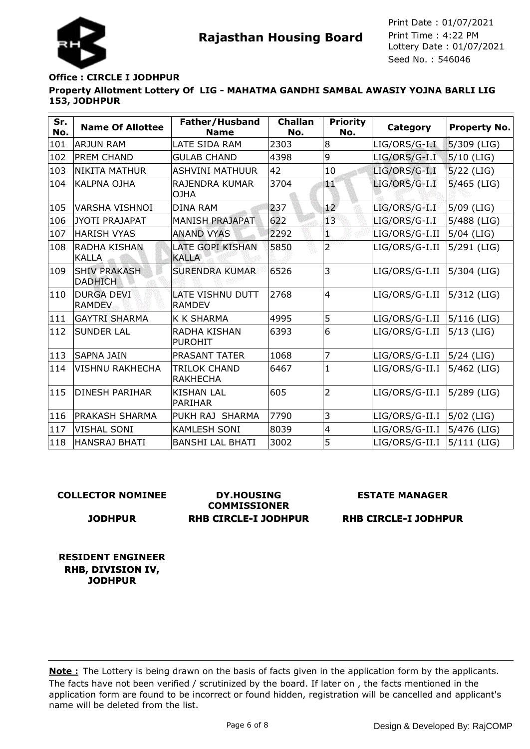

## **Property Allotment Lottery Of LIG - MAHATMA GANDHI SAMBAL AWASIY YOJNA BARLI LIG 153, JODHPUR Office : CIRCLE I JODHPUR**

| Sr.<br>No. | <b>Name Of Allottee</b>               | Father/Husband<br><b>Name</b>            | <b>Challan</b><br>No. | <b>Priority</b><br>No. | <b>Category</b> | <b>Property No.</b> |
|------------|---------------------------------------|------------------------------------------|-----------------------|------------------------|-----------------|---------------------|
| 101        | <b>ARJUN RAM</b>                      | LATE SIDA RAM                            | 2303                  | 8                      | LIG/ORS/G-I.I   | 5/309 (LIG)         |
| 102        | <b>PREM CHAND</b>                     | <b>GULAB CHAND</b>                       | 4398                  | 9                      | LIG/ORS/G-I.I   | $5/10$ (LIG)        |
| 103        | NIKITA MATHUR                         | <b>ASHVINI MATHUUR</b>                   | 42                    | 10                     | LIG/ORS/G-I.I   | $5/22$ (LIG)        |
| 104        | KALPNA OJHA                           | <b>RAJENDRA KUMAR</b><br><b>OJHA</b>     | 3704                  | 觚                      | LIG/ORS/G-I.I   | $5/465$ (LIG)       |
| 105        | <b>VARSHA VISHNOI</b>                 | <b>DINA RAM</b>                          | 237                   | 12 <sup>°</sup>        | LIG/ORS/G-I.I   | $5/09$ (LIG)        |
| 106        | JYOTI PRAJAPAT                        | <b>MANISH PRAJAPAT</b>                   | 622                   | 13                     | LIG/ORS/G-I.I   | 5/488 (LIG)         |
| 107        | <b>HARISH VYAS</b>                    | <b>ANAND VYAS</b>                        | 2292                  | ī.                     | LIG/ORS/G-I.II  | $5/04$ (LIG)        |
| 108        | <b>RADHA KISHAN</b><br><b>KALLA</b>   | <b>LATE GOPI KISHAN</b><br><b>KALLA</b>  | 5850                  | $\overline{2}$         | LIG/ORS/G-I.II  | 5/291 (LIG)         |
| 109        | <b>SHIV PRAKASH</b><br><b>DADHICH</b> | <b>SURENDRA KUMAR</b>                    | 6526                  | 3                      | LIG/ORS/G-I.II  | 5/304 (LIG)         |
| 110        | <b>DURGA DEVI</b><br><b>RAMDEV</b>    | <b>LATE VISHNU DUTT</b><br><b>RAMDEV</b> | 2768                  | $\overline{4}$         | LIG/ORS/G-I.II  | 5/312 (LIG)         |
| 111        | <b>GAYTRI SHARMA</b>                  | K K SHARMA                               | 4995                  | 5                      | LIG/ORS/G-I.II  | 5/116 (LIG)         |
| 112        | <b>SUNDER LAL</b>                     | <b>RADHA KISHAN</b><br><b>PUROHIT</b>    | 6393                  | 6                      | LIG/ORS/G-I.II  | 5/13 (LIG)          |
| 113        | SAPNA JAIN                            | PRASANT TATER                            | 1068                  | $\overline{7}$         | LIG/ORS/G-I.II  | $ 5/24$ (LIG)       |
| 114        | <b>VISHNU RAKHECHA</b>                | TRILOK CHAND<br><b>RAKHECHA</b>          | 6467                  | 1                      | LIG/ORS/G-II.I  | 5/462 (LIG)         |
| 115        | IDINESH PARIHAR                       | <b>KISHAN LAL</b><br><b>PARIHAR</b>      | 605                   | $\overline{2}$         | LIG/ORS/G-II.I  | $ 5/289$ (LIG)      |
| 116        | PRAKASH SHARMA                        | PUKH RAJ SHARMA                          | 7790                  | 3                      | LIG/ORS/G-II.I  | 5/02 (LIG)          |
| 117        | <b>VISHAL SONI</b>                    | <b>KAMLESH SONI</b>                      | 8039                  | 4                      | LIG/ORS/G-II.I  | 5/476 (LIG)         |
| 118        | <b>HANSRAJ BHATI</b>                  | <b>BANSHI LAL BHATI</b>                  | 3002                  | 5                      | LIG/ORS/G-II.I  | $5/111$ (LIG)       |

### **COLLECTOR NOMINEE**

### **JODHPUR**

**DY.HOUSING COMMISSIONER RHB CIRCLE-I JODHPUR**

### **ESTATE MANAGER**

**RHB CIRCLE-I JODHPUR**

**RESIDENT ENGINEER RHB, DIVISION IV, JODHPUR**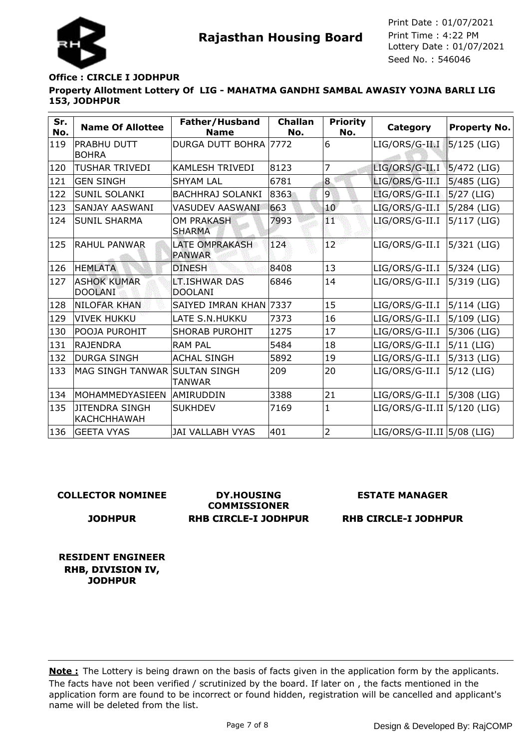

# **Office : CIRCLE I JODHPUR**

**Property Allotment Lottery Of LIG - MAHATMA GANDHI SAMBAL AWASIY YOJNA BARLI LIG 153, JODHPUR**

| Sr.<br>No. | <b>Name Of Allottee</b>                     | Father/Husband<br><b>Name</b>          | <b>Challan</b><br>No. | <b>Priority</b><br>No. | Category                    | <b>Property No.</b> |
|------------|---------------------------------------------|----------------------------------------|-----------------------|------------------------|-----------------------------|---------------------|
| 119        | PRABHU DUTT<br><b>BOHRA</b>                 | DURGA DUTT BOHRA 7772                  |                       | 6                      | LIG/ORS/G-II.I              | $5/125$ (LIG)       |
| 120        | TUSHAR TRIVEDI                              | <b>KAMLESH TRIVEDI</b>                 | 8123                  | 7                      | LIG/ORS/G-II.I              | $5/472$ (LIG)       |
| 121        | <b>GEN SINGH</b>                            | <b>SHYAM LAL</b>                       | 6781                  | 8                      | LIG/ORS/G-II.I              | $5/485$ (LIG)       |
| 122        | <b>SUNIL SOLANKI</b>                        | <b>BACHHRAJ SOLANKI</b>                | 8363                  | $\overline{9}$         | LIG/ORS/G-II.I              | $5/27$ (LIG)        |
| 123        | <b>SANJAY AASWANI</b>                       | <b>VASUDEV AASWANI</b>                 | 663                   | 10 <sup>°</sup>        | LIG/ORS/G-II.I              | $5/284$ (LIG)       |
| 124        | <b>SUNIL SHARMA</b>                         | <b>OM PRAKASH</b><br><b>SHARMA</b>     | 7993                  | qʻ                     | LIG/ORS/G-II.I              | $5/117$ (LIG)       |
| 125        | IRAHUL PANWAR                               | <b>LATE OMPRAKASH</b><br><b>PANWAR</b> | 124                   | 12 <sup>°</sup>        | LIG/ORS/G-II.I              | 5/321 (LIG)         |
| 126        | <b>HEMLATA</b>                              | <b>DINESH</b>                          | 8408                  | 13                     | LIG/ORS/G-II.I              | 5/324 (LIG)         |
| 127        | <b>ASHOK KUMAR</b><br><b>DOOLANI</b>        | LT.ISHWAR DAS<br><b>DOOLANI</b>        | 6846                  | 14                     | LIG/ORS/G-II.I              | 5/319 (LIG)         |
| 128        | <b>NILOFAR KHAN</b>                         | SAIYED IMRAN KHAN 7337                 |                       | 15                     | LIG/ORS/G-II.I              | 5/114 (LIG)         |
| 129        | <b>VIVEK HUKKU</b>                          | LATE S.N.HUKKU                         | 7373                  | 16                     | LIG/ORS/G-II.I              | 5/109 (LIG)         |
| 130        | POOJA PUROHIT                               | <b>SHORAB PUROHIT</b>                  | 1275                  | 17                     | LIG/ORS/G-II.I              | 5/306 (LIG)         |
| 131        | <b>RAJENDRA</b>                             | <b>RAM PAL</b>                         | 5484                  | 18                     | LIG/ORS/G-II.I              | $5/11$ (LIG)        |
| 132        | <b>DURGA SINGH</b>                          | <b>ACHAL SINGH</b>                     | 5892                  | 19                     | LIG/ORS/G-II.I              | 5/313 (LIG)         |
| 133        | MAG SINGH TANWAR                            | <b>SULTAN SINGH</b><br><b>TANWAR</b>   | 209                   | 20                     | LIG/ORS/G-II.I              | $5/12$ (LIG)        |
| 134        | MOHAMMEDYASIEEN                             | AMIRUDDIN                              | 3388                  | 21                     | LIG/ORS/G-II.I              | 5/308 (LIG)         |
| 135        | <b>JITENDRA SINGH</b><br><b>KACHCHHAWAH</b> | <b>SUKHDEV</b>                         | 7169                  | 1                      | LIG/ORS/G-II.II 5/120 (LIG) |                     |
| 136        | <b>GEETA VYAS</b>                           | <b>JAI VALLABH VYAS</b>                | 401                   | $\overline{2}$         | LIG/ORS/G-II.II 5/08 (LIG)  |                     |

### **COLLECTOR NOMINEE**

### **JODHPUR**

**DY.HOUSING COMMISSIONER RHB CIRCLE-I JODHPUR**

### **ESTATE MANAGER**

**RHB CIRCLE-I JODHPUR**

**RESIDENT ENGINEER RHB, DIVISION IV, JODHPUR**